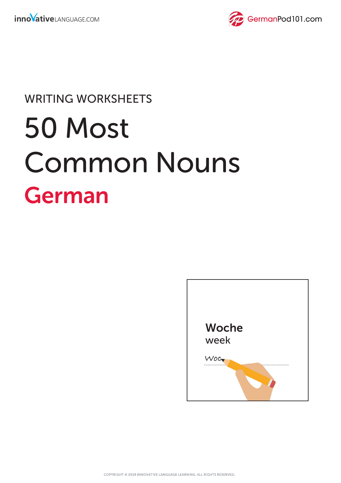

## WRITING WORKSHEETS

## 50 Most Common Nouns German

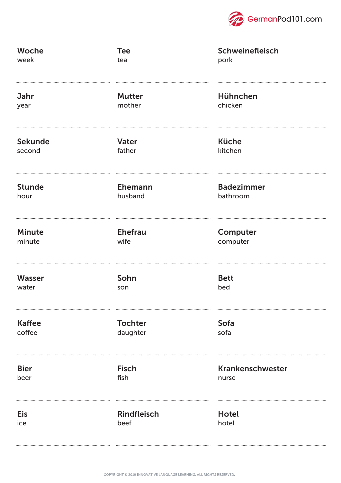

| Woche          | <b>Tee</b>         | Schweinefleisch   |
|----------------|--------------------|-------------------|
| week           | tea                | pork              |
| Jahr           | <b>Mutter</b>      | Hühnchen          |
| year           | mother             | chicken           |
| <b>Sekunde</b> | Vater              | <b>Küche</b>      |
| second         | father             | kitchen           |
| <b>Stunde</b>  | Ehemann            | <b>Badezimmer</b> |
| hour           | husband            | bathroom          |
| <b>Minute</b>  | <b>Ehefrau</b>     | Computer          |
| minute         | wife               | computer          |
| <b>Wasser</b>  | Sohn               | <b>Bett</b>       |
| water          | son                | bed               |
| <b>Kaffee</b>  | <b>Tochter</b>     | Sofa              |
| coffee         | daughter           | sofa              |
| <b>Bier</b>    | <b>Fisch</b>       | Krankenschwester  |
| beer           | fish               | nurse             |
| <b>Eis</b>     | <b>Rindfleisch</b> | <b>Hotel</b>      |
| ice            | beef               | hotel             |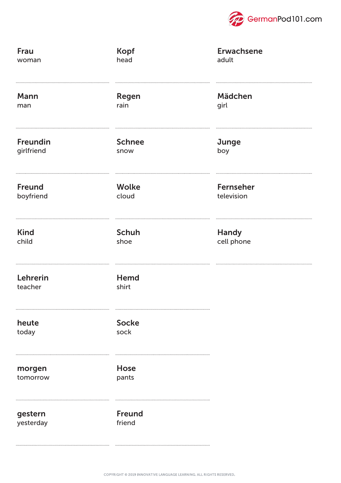

| <b>Frau</b>          | <b>Kopf</b>             | <b>Erwachsene</b> |
|----------------------|-------------------------|-------------------|
| woman                | head                    | adult             |
| Mann                 | Regen                   | Mädchen           |
| man                  | rain                    | girl              |
| Freundin             | <b>Schnee</b>           | Junge             |
| girlfriend           | snow                    | boy               |
| <b>Freund</b>        | <b>Wolke</b>            | <b>Fernseher</b>  |
| boyfriend            | cloud                   | television        |
| <b>Kind</b>          | <b>Schuh</b>            | Handy             |
| child                | shoe                    | cell phone        |
| Lehrerin<br>teacher  | Hemd<br>shirt           |                   |
| heute<br>today       | <b>Socke</b><br>sock    |                   |
| morgen<br>tomorrow   | Hose<br>pants           |                   |
| gestern<br>yesterday | <b>Freund</b><br>friend |                   |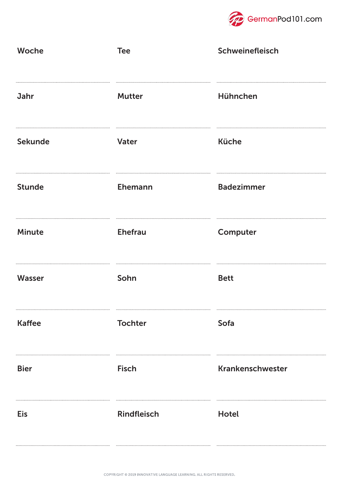

| Woche          | <b>Tee</b>         | Schweinefleisch   |
|----------------|--------------------|-------------------|
| Jahr           | <b>Mutter</b>      | Hühnchen          |
| <b>Sekunde</b> | Vater              | <b>Küche</b>      |
| <b>Stunde</b>  | Ehemann            | <b>Badezimmer</b> |
| <b>Minute</b>  | <b>Ehefrau</b>     | Computer          |
| <b>Wasser</b>  | Sohn               | <b>Bett</b>       |
| <b>Kaffee</b>  | <b>Tochter</b>     | Sofa              |
| <b>Bier</b>    | <b>Fisch</b>       | Krankenschwester  |
| <b>Eis</b>     | <b>Rindfleisch</b> | <b>Hotel</b>      |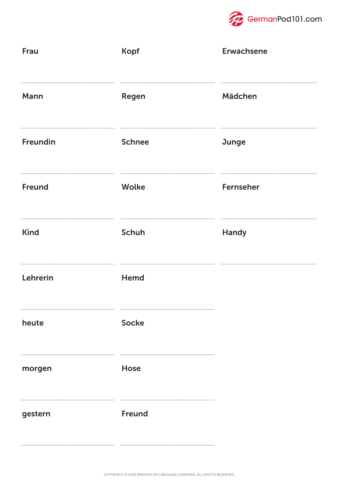

| <b>Frau</b> | <b>Kopf</b>   | <b>Erwachsene</b> |
|-------------|---------------|-------------------|
| Mann        | Regen         | Mädchen           |
| Freundin    | <b>Schnee</b> | Junge             |
| Freund      | <b>Wolke</b>  | Fernseher         |
| <b>Kind</b> | Schuh         | <b>Handy</b>      |
| Lehrerin    | Hemd          |                   |
| heute       | <b>Socke</b>  |                   |
| morgen      | Hose          |                   |
| gestern     | <b>Freund</b> |                   |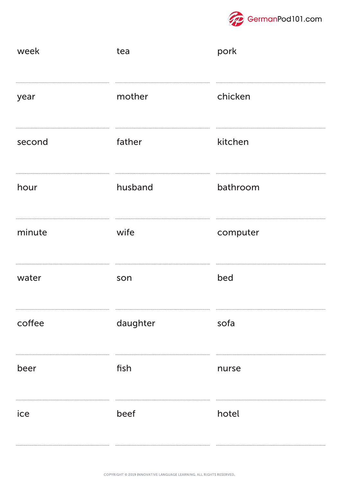

| week   | tea      | pork     |
|--------|----------|----------|
| year   | mother   | chicken  |
| second | father   | kitchen  |
| hour   | husband  | bathroom |
| minute | wife     | computer |
| water  | son      | bed      |
| coffee | daughter | sofa     |
| beer   | fish     | nurse    |
| ice    | beef     | hotel    |